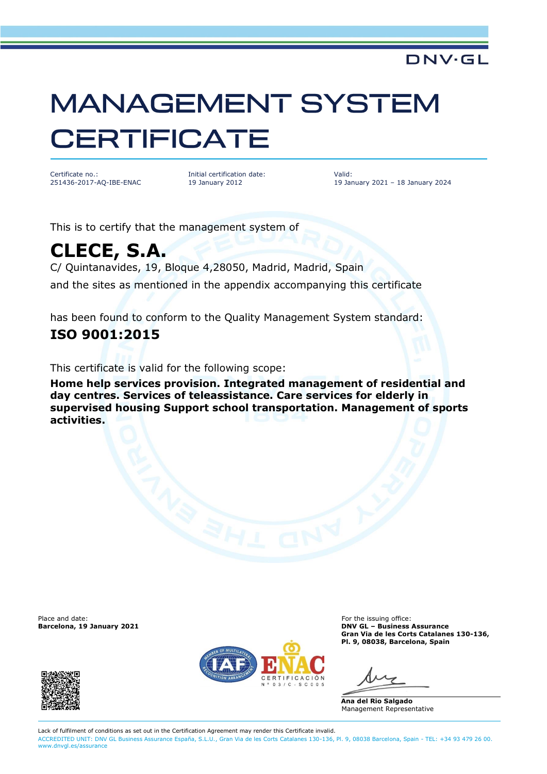# **MANAGEMENT SYSTEM CERTIFICATE**

Certificate no.: 251436-2017-AQ-IBE-ENAC Initial certification date: 19 January 2012

Valid: 19 January 2021 – 18 January 2024

DNV·GL

This is to certify that the management system of

# **CLECE, S.A.**

C/ Quintanavides, 19, Bloque 4,28050, Madrid, Madrid, Spain and the sites as mentioned in the appendix accompanying this certificate

has been found to conform to the Quality Management System standard:

### **ISO 9001:2015**

This certificate is valid for the following scope:

**Home help services provision. Integrated management of residential and day centres. Services of teleassistance. Care services for elderly in supervised housing Support school transportation. Management of sports activities.**

Place and date: **For the issuing office:** For the issuing office:





**Barcelona, 19 January 2021 DNV GL – Business Assurance Gran Via de les Corts Catalanes 130-136, Pl. 9, 08038, Barcelona, Spain**

**Ana del Rio Salgado** Management Representative

Lack of fulfilment of conditions as set out in the Certification Agreement may render this Certificate invalid. ACCREDITED UNIT: DNV GL Business Assurance España, S.L.U., Gran Via de les Corts Catalanes 130-136, Pl. 9, 08038 Barcelona, Spain - TEL: +34 93 479 26 00. [www.dnvgl.es/assurance](http://www.dnvgl.es/assurance)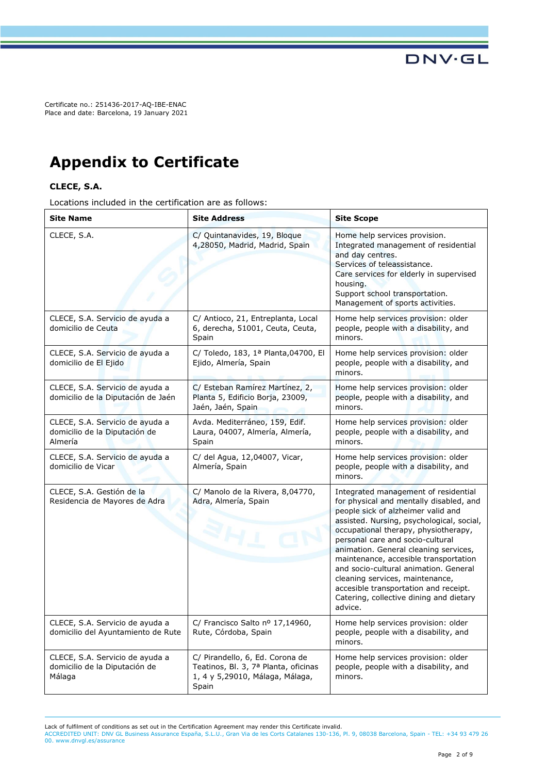Certificate no.: 251436-2017-AQ-IBE-ENAC Place and date: Barcelona, 19 January 2021

## **Appendix to Certificate**

#### **CLECE, S.A.**

Locations included in the certification are as follows:

| Site Name                                                                   | <b>Site Address</b>                                                                                                 | <b>Site Scope</b>                                                                                                                                                                                                                                                                                                                                                                                                                                                                                           |
|-----------------------------------------------------------------------------|---------------------------------------------------------------------------------------------------------------------|-------------------------------------------------------------------------------------------------------------------------------------------------------------------------------------------------------------------------------------------------------------------------------------------------------------------------------------------------------------------------------------------------------------------------------------------------------------------------------------------------------------|
| CLECE, S.A.                                                                 | C/ Quintanavides, 19, Bloque<br>4,28050, Madrid, Madrid, Spain                                                      | Home help services provision.<br>Integrated management of residential<br>and day centres.<br>Services of teleassistance.<br>Care services for elderly in supervised<br>housing.<br>Support school transportation.<br>Management of sports activities.                                                                                                                                                                                                                                                       |
| CLECE, S.A. Servicio de ayuda a<br>domicilio de Ceuta                       | C/ Antioco, 21, Entreplanta, Local<br>6, derecha, 51001, Ceuta, Ceuta,<br>Spain                                     | Home help services provision: older<br>people, people with a disability, and<br>minors.                                                                                                                                                                                                                                                                                                                                                                                                                     |
| CLECE, S.A. Servicio de ayuda a<br>domicilio de El Ejido                    | C/ Toledo, 183, 1ª Planta, 04700, El<br>Ejido, Almería, Spain                                                       | Home help services provision: older<br>people, people with a disability, and<br>minors.                                                                                                                                                                                                                                                                                                                                                                                                                     |
| CLECE, S.A. Servicio de ayuda a<br>domicilio de la Diputación de Jaén       | C/ Esteban Ramírez Martínez, 2,<br>Planta 5, Edificio Borja, 23009,<br>Jaén, Jaén, Spain                            | Home help services provision: older<br>people, people with a disability, and<br>minors.                                                                                                                                                                                                                                                                                                                                                                                                                     |
| CLECE, S.A. Servicio de ayuda a<br>domicilio de la Diputación de<br>Almería | Avda. Mediterráneo, 159, Edif.<br>Laura, 04007, Almería, Almería,<br>Spain                                          | Home help services provision: older<br>people, people with a disability, and<br>minors.                                                                                                                                                                                                                                                                                                                                                                                                                     |
| CLECE, S.A. Servicio de ayuda a<br>domicilio de Vicar                       | C/ del Agua, 12,04007, Vicar,<br>Almería, Spain                                                                     | Home help services provision: older<br>people, people with a disability, and<br>minors.                                                                                                                                                                                                                                                                                                                                                                                                                     |
| CLECE, S.A. Gestión de la<br>Residencia de Mayores de Adra                  | C/ Manolo de la Rivera, 8,04770,<br>Adra, Almería, Spain<br><b>EHE</b>                                              | Integrated management of residential<br>for physical and mentally disabled, and<br>people sick of alzheimer valid and<br>assisted. Nursing, psychological, social,<br>occupational therapy, physiotherapy,<br>personal care and socio-cultural<br>animation. General cleaning services,<br>maintenance, accesible transportation<br>and socio-cultural animation. General<br>cleaning services, maintenance,<br>accesible transportation and receipt.<br>Catering, collective dining and dietary<br>advice. |
| CLECE, S.A. Servicio de ayuda a<br>domicilio del Ayuntamiento de Rute       | C/ Francisco Salto nº 17,14960,<br>Rute, Córdoba, Spain                                                             | Home help services provision: older<br>people, people with a disability, and<br>minors.                                                                                                                                                                                                                                                                                                                                                                                                                     |
| CLECE, S.A. Servicio de ayuda a<br>domicilio de la Diputación de<br>Málaga  | C/ Pirandello, 6, Ed. Corona de<br>Teatinos, Bl. 3, 7ª Planta, oficinas<br>1, 4 y 5,29010, Málaga, Málaga,<br>Spain | Home help services provision: older<br>people, people with a disability, and<br>minors.                                                                                                                                                                                                                                                                                                                                                                                                                     |

Lack of fulfilment of conditions as set out in the Certification Agreement may render this Certificate invalid.

ACCREDITED UNIT: DNV GL Business Assurance España, S.L.U., Gran Via de les Corts Catalanes 130-136, Pl. 9, 08038 Barcelona, Spain - TEL: +34 93 479 26 00. [www.dnvgl.es/assurance](http://www.dnvgl.es/assurance)

**DNV·GL**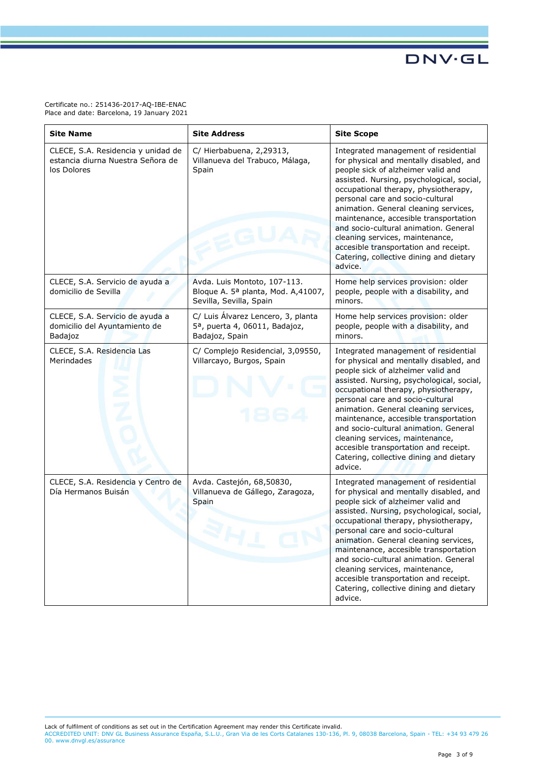Certificate no.: 251436-2017-AQ-IBE-ENAC Place and date: Barcelona, 19 January 2021

| <b>Site Name</b>                                                                       | <b>Site Address</b>                                                                                | <b>Site Scope</b>                                                                                                                                                                                                                                                                                                                                                                                                                                                                                           |
|----------------------------------------------------------------------------------------|----------------------------------------------------------------------------------------------------|-------------------------------------------------------------------------------------------------------------------------------------------------------------------------------------------------------------------------------------------------------------------------------------------------------------------------------------------------------------------------------------------------------------------------------------------------------------------------------------------------------------|
| CLECE, S.A. Residencia y unidad de<br>estancia diurna Nuestra Señora de<br>los Dolores | C/ Hierbabuena, 2,29313,<br>Villanueva del Trabuco, Málaga,<br>Spain                               | Integrated management of residential<br>for physical and mentally disabled, and<br>people sick of alzheimer valid and<br>assisted. Nursing, psychological, social,<br>occupational therapy, physiotherapy,<br>personal care and socio-cultural<br>animation. General cleaning services,<br>maintenance, accesible transportation<br>and socio-cultural animation. General<br>cleaning services, maintenance,<br>accesible transportation and receipt.<br>Catering, collective dining and dietary<br>advice. |
| CLECE, S.A. Servicio de ayuda a<br>domicilio de Sevilla                                | Avda. Luis Montoto, 107-113.<br>Bloque A. 5ª planta, Mod. A,41007,<br>Sevilla, Sevilla, Spain      | Home help services provision: older<br>people, people with a disability, and<br>minors.                                                                                                                                                                                                                                                                                                                                                                                                                     |
| CLECE, S.A. Servicio de ayuda a<br>domicilio del Ayuntamiento de<br>Badajoz            | C/ Luis Álvarez Lencero, 3, planta<br>5 <sup>a</sup> , puerta 4, 06011, Badajoz,<br>Badajoz, Spain | Home help services provision: older<br>people, people with a disability, and<br>minors.                                                                                                                                                                                                                                                                                                                                                                                                                     |
| CLECE, S.A. Residencia Las<br>Merindades                                               | C/ Complejo Residencial, 3,09550,<br>Villarcayo, Burgos, Spain                                     | Integrated management of residential<br>for physical and mentally disabled, and<br>people sick of alzheimer valid and<br>assisted. Nursing, psychological, social,<br>occupational therapy, physiotherapy,<br>personal care and socio-cultural<br>animation. General cleaning services,<br>maintenance, accesible transportation<br>and socio-cultural animation. General<br>cleaning services, maintenance,<br>accesible transportation and receipt.<br>Catering, collective dining and dietary<br>advice. |
| CLECE, S.A. Residencia y Centro de<br>Día Hermanos Buisán                              | Avda. Castejón, 68,50830,<br>Villanueva de Gállego, Zaragoza,<br>Spain<br>ari                      | Integrated management of residential<br>for physical and mentally disabled, and<br>people sick of alzheimer valid and<br>assisted. Nursing, psychological, social,<br>occupational therapy, physiotherapy,<br>personal care and socio-cultural<br>animation. General cleaning services,<br>maintenance, accesible transportation<br>and socio-cultural animation. General<br>cleaning services, maintenance,<br>accesible transportation and receipt.<br>Catering, collective dining and dietary<br>advice. |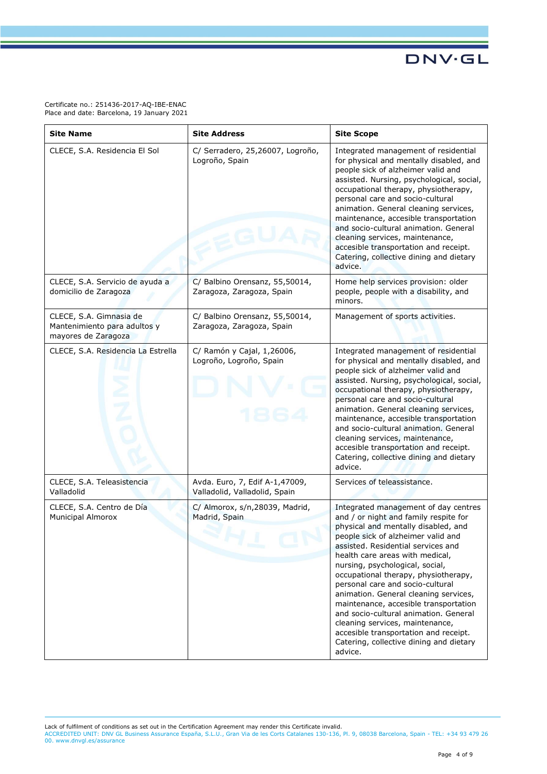Certificate no.: 251436-2017-AQ-IBE-ENAC Place and date: Barcelona, 19 January 2021

| <b>Site Name</b>                                                               | <b>Site Address</b>                                             | <b>Site Scope</b>                                                                                                                                                                                                                                                                                                                                                                                                                                                                                                                                                                                               |
|--------------------------------------------------------------------------------|-----------------------------------------------------------------|-----------------------------------------------------------------------------------------------------------------------------------------------------------------------------------------------------------------------------------------------------------------------------------------------------------------------------------------------------------------------------------------------------------------------------------------------------------------------------------------------------------------------------------------------------------------------------------------------------------------|
| CLECE, S.A. Residencia El Sol                                                  | C/ Serradero, 25,26007, Logroño,<br>Logroño, Spain              | Integrated management of residential<br>for physical and mentally disabled, and<br>people sick of alzheimer valid and<br>assisted. Nursing, psychological, social,<br>occupational therapy, physiotherapy,<br>personal care and socio-cultural<br>animation. General cleaning services,<br>maintenance, accesible transportation<br>and socio-cultural animation. General<br>cleaning services, maintenance,<br>accesible transportation and receipt.<br>Catering, collective dining and dietary<br>advice.                                                                                                     |
| CLECE, S.A. Servicio de ayuda a<br>domicilio de Zaragoza                       | C/ Balbino Orensanz, 55,50014,<br>Zaragoza, Zaragoza, Spain     | Home help services provision: older<br>people, people with a disability, and<br>minors.                                                                                                                                                                                                                                                                                                                                                                                                                                                                                                                         |
| CLECE, S.A. Gimnasia de<br>Mantenimiento para adultos y<br>mayores de Zaragoza | C/ Balbino Orensanz, 55,50014,<br>Zaragoza, Zaragoza, Spain     | Management of sports activities.                                                                                                                                                                                                                                                                                                                                                                                                                                                                                                                                                                                |
| CLECE, S.A. Residencia La Estrella                                             | C/ Ramón y Cajal, 1,26006,<br>Logroño, Logroño, Spain           | Integrated management of residential<br>for physical and mentally disabled, and<br>people sick of alzheimer valid and<br>assisted. Nursing, psychological, social,<br>occupational therapy, physiotherapy,<br>personal care and socio-cultural<br>animation. General cleaning services,<br>maintenance, accesible transportation<br>and socio-cultural animation. General<br>cleaning services, maintenance,<br>accesible transportation and receipt.<br>Catering, collective dining and dietary<br>advice.                                                                                                     |
| CLECE, S.A. Teleasistencia<br>Valladolid                                       | Avda. Euro, 7, Edif A-1,47009,<br>Valladolid, Valladolid, Spain | Services of teleassistance.                                                                                                                                                                                                                                                                                                                                                                                                                                                                                                                                                                                     |
| CLECE, S.A. Centro de Día<br><b>Municipal Almorox</b>                          | C/ Almorox, s/n,28039, Madrid,<br>Madrid, Spain                 | Integrated management of day centres<br>and / or night and family respite for<br>physical and mentally disabled, and<br>people sick of alzheimer valid and<br>assisted. Residential services and<br>health care areas with medical,<br>nursing, psychological, social,<br>occupational therapy, physiotherapy,<br>personal care and socio-cultural<br>animation. General cleaning services,<br>maintenance, accesible transportation<br>and socio-cultural animation. General<br>cleaning services, maintenance,<br>accesible transportation and receipt.<br>Catering, collective dining and dietary<br>advice. |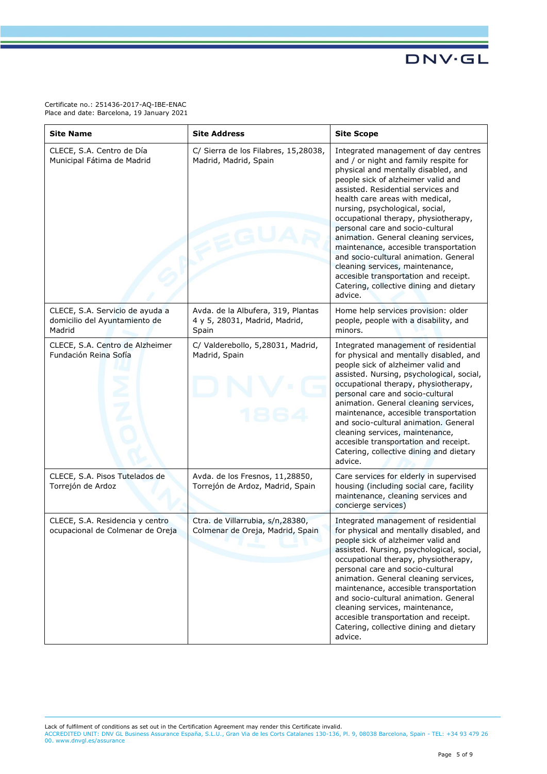Certificate no.: 251436-2017-AQ-IBE-ENAC Place and date: Barcelona, 19 January 2021

| <b>Site Name</b>                                                           | <b>Site Address</b>                                                          | <b>Site Scope</b>                                                                                                                                                                                                                                                                                                                                                                                                                                                                                                                                                                                               |
|----------------------------------------------------------------------------|------------------------------------------------------------------------------|-----------------------------------------------------------------------------------------------------------------------------------------------------------------------------------------------------------------------------------------------------------------------------------------------------------------------------------------------------------------------------------------------------------------------------------------------------------------------------------------------------------------------------------------------------------------------------------------------------------------|
| CLECE, S.A. Centro de Día<br>Municipal Fátima de Madrid                    | C/ Sierra de los Filabres, 15,28038,<br>Madrid, Madrid, Spain                | Integrated management of day centres<br>and / or night and family respite for<br>physical and mentally disabled, and<br>people sick of alzheimer valid and<br>assisted. Residential services and<br>health care areas with medical,<br>nursing, psychological, social,<br>occupational therapy, physiotherapy,<br>personal care and socio-cultural<br>animation. General cleaning services,<br>maintenance, accesible transportation<br>and socio-cultural animation. General<br>cleaning services, maintenance,<br>accesible transportation and receipt.<br>Catering, collective dining and dietary<br>advice. |
| CLECE, S.A. Servicio de ayuda a<br>domicilio del Ayuntamiento de<br>Madrid | Avda. de la Albufera, 319, Plantas<br>4 y 5, 28031, Madrid, Madrid,<br>Spain | Home help services provision: older<br>people, people with a disability, and<br>minors.                                                                                                                                                                                                                                                                                                                                                                                                                                                                                                                         |
| CLECE, S.A. Centro de Alzheimer<br>Fundación Reina Sofía                   | C/ Valderebollo, 5,28031, Madrid,<br>Madrid, Spain                           | Integrated management of residential<br>for physical and mentally disabled, and<br>people sick of alzheimer valid and<br>assisted. Nursing, psychological, social,<br>occupational therapy, physiotherapy,<br>personal care and socio-cultural<br>animation. General cleaning services,<br>maintenance, accesible transportation<br>and socio-cultural animation. General<br>cleaning services, maintenance,<br>accesible transportation and receipt.<br>Catering, collective dining and dietary<br>advice.                                                                                                     |
| CLECE, S.A. Pisos Tutelados de<br>Torrejón de Ardoz                        | Avda. de los Fresnos, 11,28850,<br>Torrejón de Ardoz, Madrid, Spain          | Care services for elderly in supervised<br>housing (including social care, facility<br>maintenance, cleaning services and<br>concierge services)                                                                                                                                                                                                                                                                                                                                                                                                                                                                |
| CLECE, S.A. Residencia y centro<br>ocupacional de Colmenar de Oreja        | Ctra. de Villarrubia, s/n,28380,<br>Colmenar de Oreja, Madrid, Spain         | Integrated management of residential<br>for physical and mentally disabled, and<br>people sick of alzheimer valid and<br>assisted. Nursing, psychological, social,<br>occupational therapy, physiotherapy,<br>personal care and socio-cultural<br>animation. General cleaning services,<br>maintenance, accesible transportation<br>and socio-cultural animation. General<br>cleaning services, maintenance,<br>accesible transportation and receipt.<br>Catering, collective dining and dietary<br>advice.                                                                                                     |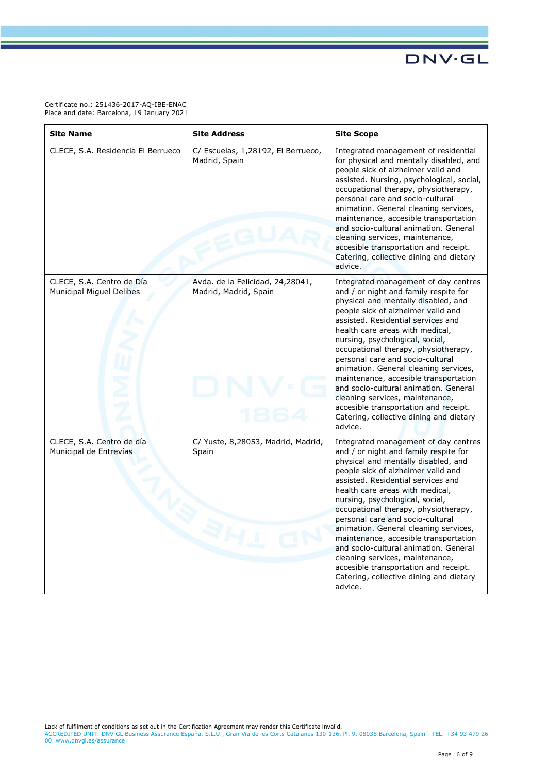Certificate no.: 251436-2017-AQ-IBE-ENAC Place and date: Barcelona, 19 January 2021

| <b>Site Name</b>                                      | <b>Site Address</b>                                       | <b>Site Scope</b>                                                                                                                                                                                                                                                                                                                                                                                                                                                                                                                                                                                               |
|-------------------------------------------------------|-----------------------------------------------------------|-----------------------------------------------------------------------------------------------------------------------------------------------------------------------------------------------------------------------------------------------------------------------------------------------------------------------------------------------------------------------------------------------------------------------------------------------------------------------------------------------------------------------------------------------------------------------------------------------------------------|
| CLECE, S.A. Residencia El Berrueco                    | C/ Escuelas, 1,28192, El Berrueco,<br>Madrid, Spain       | Integrated management of residential<br>for physical and mentally disabled, and<br>people sick of alzheimer valid and<br>assisted. Nursing, psychological, social,<br>occupational therapy, physiotherapy,<br>personal care and socio-cultural<br>animation. General cleaning services,<br>maintenance, accesible transportation<br>and socio-cultural animation. General<br>cleaning services, maintenance,<br>accesible transportation and receipt.<br>Catering, collective dining and dietary<br>advice.                                                                                                     |
| CLECE, S.A. Centro de Día<br>Municipal Miguel Delibes | Avda. de la Felicidad, 24,28041,<br>Madrid, Madrid, Spain | Integrated management of day centres<br>and / or night and family respite for<br>physical and mentally disabled, and<br>people sick of alzheimer valid and<br>assisted. Residential services and<br>health care areas with medical,<br>nursing, psychological, social,<br>occupational therapy, physiotherapy,<br>personal care and socio-cultural<br>animation. General cleaning services,<br>maintenance, accesible transportation<br>and socio-cultural animation. General<br>cleaning services, maintenance,<br>accesible transportation and receipt.<br>Catering, collective dining and dietary<br>advice. |
| CLECE, S.A. Centro de día<br>Municipal de Entrevías   | C/ Yuste, 8,28053, Madrid, Madrid,<br>Spain<br>EL         | Integrated management of day centres<br>and / or night and family respite for<br>physical and mentally disabled, and<br>people sick of alzheimer valid and<br>assisted. Residential services and<br>health care areas with medical,<br>nursing, psychological, social,<br>occupational therapy, physiotherapy,<br>personal care and socio-cultural<br>animation. General cleaning services,<br>maintenance, accesible transportation<br>and socio-cultural animation. General<br>cleaning services, maintenance,<br>accesible transportation and receipt.<br>Catering, collective dining and dietary<br>advice. |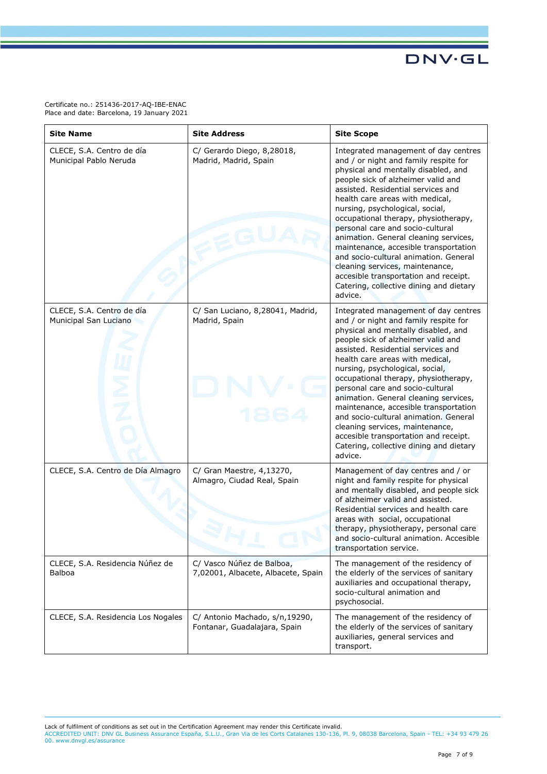Certificate no.: 251436-2017-AQ-IBE-ENAC Place and date: Barcelona, 19 January 2021

| <b>Site Name</b>                                    | <b>Site Address</b>                                             | <b>Site Scope</b>                                                                                                                                                                                                                                                                                                                                                                                                                                                                                                                                                                                               |
|-----------------------------------------------------|-----------------------------------------------------------------|-----------------------------------------------------------------------------------------------------------------------------------------------------------------------------------------------------------------------------------------------------------------------------------------------------------------------------------------------------------------------------------------------------------------------------------------------------------------------------------------------------------------------------------------------------------------------------------------------------------------|
| CLECE, S.A. Centro de día<br>Municipal Pablo Neruda | C/ Gerardo Diego, 8,28018,<br>Madrid, Madrid, Spain             | Integrated management of day centres<br>and / or night and family respite for<br>physical and mentally disabled, and<br>people sick of alzheimer valid and<br>assisted. Residential services and<br>health care areas with medical,<br>nursing, psychological, social,<br>occupational therapy, physiotherapy,<br>personal care and socio-cultural<br>animation. General cleaning services,<br>maintenance, accesible transportation<br>and socio-cultural animation. General<br>cleaning services, maintenance,<br>accesible transportation and receipt.<br>Catering, collective dining and dietary<br>advice. |
| CLECE, S.A. Centro de día<br>Municipal San Luciano  | C/ San Luciano, 8,28041, Madrid,<br>Madrid, Spain               | Integrated management of day centres<br>and / or night and family respite for<br>physical and mentally disabled, and<br>people sick of alzheimer valid and<br>assisted. Residential services and<br>health care areas with medical,<br>nursing, psychological, social,<br>occupational therapy, physiotherapy,<br>personal care and socio-cultural<br>animation. General cleaning services,<br>maintenance, accesible transportation<br>and socio-cultural animation. General<br>cleaning services, maintenance,<br>accesible transportation and receipt.<br>Catering, collective dining and dietary<br>advice. |
| CLECE, S.A. Centro de Día Almagro                   | C/ Gran Maestre, 4,13270,<br>Almagro, Ciudad Real, Spain        | Management of day centres and / or<br>night and family respite for physical<br>and mentally disabled, and people sick<br>of alzheimer valid and assisted.<br>Residential services and health care<br>areas with social, occupational<br>therapy, physiotherapy, personal care<br>and socio-cultural animation. Accesible<br>transportation service.                                                                                                                                                                                                                                                             |
| CLECE, S.A. Residencia Núñez de<br><b>Balboa</b>    | C/ Vasco Núñez de Balboa,<br>7,02001, Albacete, Albacete, Spain | The management of the residency of<br>the elderly of the services of sanitary<br>auxiliaries and occupational therapy,<br>socio-cultural animation and<br>psychosocial.                                                                                                                                                                                                                                                                                                                                                                                                                                         |
| CLECE, S.A. Residencia Los Nogales                  | C/ Antonio Machado, s/n,19290,<br>Fontanar, Guadalajara, Spain  | The management of the residency of<br>the elderly of the services of sanitary<br>auxiliaries, general services and<br>transport.                                                                                                                                                                                                                                                                                                                                                                                                                                                                                |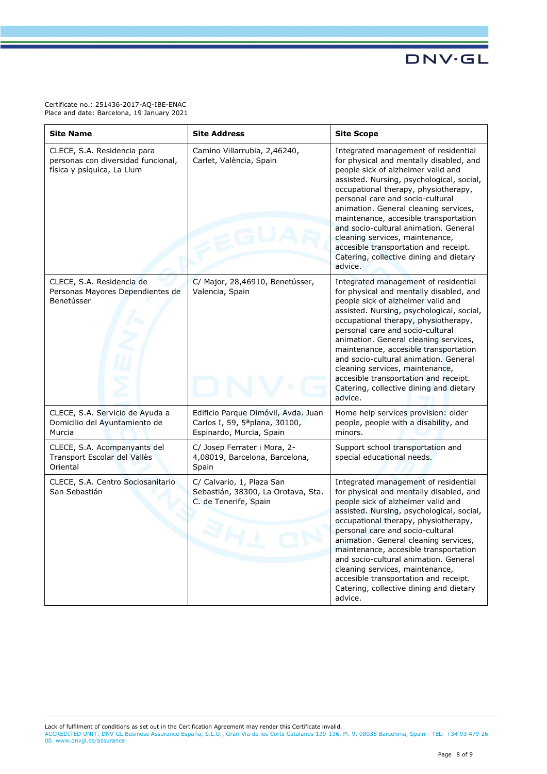Certificate no.: 251436-2017-AQ-IBE-ENAC Place and date: Barcelona, 19 January 2021

| <b>Site Name</b>                                                                                | <b>Site Address</b>                                                                                           | <b>Site Scope</b>                                                                                                                                                                                                                                                                                                                                                                                                                                                                                           |
|-------------------------------------------------------------------------------------------------|---------------------------------------------------------------------------------------------------------------|-------------------------------------------------------------------------------------------------------------------------------------------------------------------------------------------------------------------------------------------------------------------------------------------------------------------------------------------------------------------------------------------------------------------------------------------------------------------------------------------------------------|
| CLECE, S.A. Residencia para<br>personas con diversidad funcional,<br>física y psíquica, La Llum | Camino Villarrubia, 2,46240,<br>Carlet, València, Spain                                                       | Integrated management of residential<br>for physical and mentally disabled, and<br>people sick of alzheimer valid and<br>assisted. Nursing, psychological, social,<br>occupational therapy, physiotherapy,<br>personal care and socio-cultural<br>animation. General cleaning services,<br>maintenance, accesible transportation<br>and socio-cultural animation. General<br>cleaning services, maintenance,<br>accesible transportation and receipt.<br>Catering, collective dining and dietary<br>advice. |
| CLECE, S.A. Residencia de<br>Personas Mayores Dependientes de<br>Benetússer                     | C/ Major, 28,46910, Benetússer,<br>Valencia, Spain                                                            | Integrated management of residential<br>for physical and mentally disabled, and<br>people sick of alzheimer valid and<br>assisted. Nursing, psychological, social,<br>occupational therapy, physiotherapy,<br>personal care and socio-cultural<br>animation. General cleaning services,<br>maintenance, accesible transportation<br>and socio-cultural animation. General<br>cleaning services, maintenance,<br>accesible transportation and receipt.<br>Catering, collective dining and dietary<br>advice. |
| CLECE, S.A. Servicio de Ayuda a<br>Domicilio del Ayuntamiento de<br>Murcia                      | Edificio Parque Dimóvil, Avda. Juan<br>Carlos I, 59, 5 <sup>a</sup> plana, 30100,<br>Espinardo, Murcia, Spain | Home help services provision: older<br>people, people with a disability, and<br>minors.                                                                                                                                                                                                                                                                                                                                                                                                                     |
| CLECE, S.A. Acompanyants del<br>Transport Escolar del Vallès<br>Oriental                        | C/ Josep Ferrater i Mora, 2-<br>4,08019, Barcelona, Barcelona,<br>Spain                                       | Support school transportation and<br>special educational needs.                                                                                                                                                                                                                                                                                                                                                                                                                                             |
| CLECE, S.A. Centro Sociosanitario<br>San Sebastián                                              | C/ Calvario, 1, Plaza San<br>Sebastián, 38300, La Orotava, Sta.<br>C. de Tenerife, Spain<br><b>AE</b>         | Integrated management of residential<br>for physical and mentally disabled, and<br>people sick of alzheimer valid and<br>assisted. Nursing, psychological, social,<br>occupational therapy, physiotherapy,<br>personal care and socio-cultural<br>animation. General cleaning services,<br>maintenance, accesible transportation<br>and socio-cultural animation. General<br>cleaning services, maintenance,<br>accesible transportation and receipt.<br>Catering, collective dining and dietary<br>advice. |